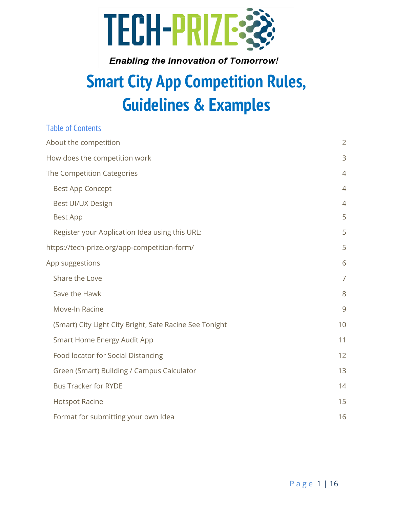

# **Smart City App Competition Rules, Guidelines & Examples**

| <b>Table of Contents</b>                                |                |
|---------------------------------------------------------|----------------|
| About the competition                                   | $\overline{2}$ |
| How does the competition work                           | 3              |
| The Competition Categories                              | $\overline{4}$ |
| <b>Best App Concept</b>                                 | $\overline{4}$ |
| Best UI/UX Design                                       | $\overline{4}$ |
| <b>Best App</b>                                         | 5              |
| Register your Application Idea using this URL:          | 5              |
| https://tech-prize.org/app-competition-form/            | 5              |
| App suggestions                                         | 6              |
| Share the Love                                          | $\overline{7}$ |
| Save the Hawk                                           | 8              |
| Move-In Racine                                          | 9              |
| (Smart) City Light City Bright, Safe Racine See Tonight | 10             |
| <b>Smart Home Energy Audit App</b>                      | 11             |
| Food locator for Social Distancing                      | 12             |
| Green (Smart) Building / Campus Calculator              | 13             |
| <b>Bus Tracker for RYDE</b>                             | 14             |
| <b>Hotspot Racine</b>                                   | 15             |
| Format for submitting your own Idea                     | 16             |
|                                                         |                |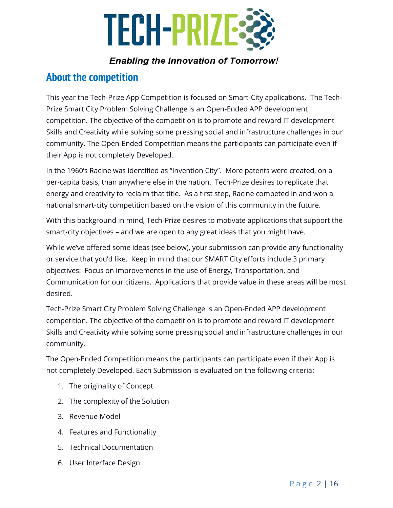

# <span id="page-1-0"></span>**About the competition**

This year the Tech-Prize App Competition is focused on Smart-City applications. The Tech-Prize Smart City Problem Solving Challenge is an Open-Ended APP development competition. The objective of the competition is to promote and reward IT development Skills and Creativity while solving some pressing social and infrastructure challenges in our community. The Open-Ended Competition means the participants can participate even if their App is not completely Developed.

In the 1960's Racine was identified as "Invention City". More patents were created, on a per-capita basis, than anywhere else in the nation. Tech-Prize desires to replicate that energy and creativity to reclaim that title. As a first step, Racine competed in and won a national smart-city competition based on the vision of this community in the future.

With this background in mind, Tech-Prize desires to motivate applications that support the smart-city objectives – and we are open to any great ideas that you might have.

While we've offered some ideas (see below), your submission can provide any functionality or service that you'd like. Keep in mind that our SMART City efforts include 3 primary objectives: Focus on improvements in the use of Energy, Transportation, and Communication for our citizens. Applications that provide value in these areas will be most desired.

Tech-Prize Smart City Problem Solving Challenge is an Open-Ended APP development competition. The objective of the competition is to promote and reward IT development Skills and Creativity while solving some pressing social and infrastructure challenges in our community.

The Open-Ended Competition means the participants can participate even if their App is not completely Developed. Each Submission is evaluated on the following criteria:

- 1. The originality of Concept
- 2. The complexity of the Solution
- 3. Revenue Model
- 4. Features and Functionality
- 5. Technical Documentation
- 6. User Interface Design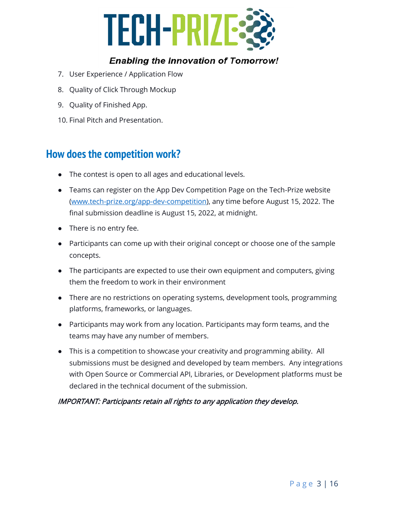

- 7. User Experience / Application Flow
- 8. Quality of Click Through Mockup
- 9. Quality of Finished App.
- 10. Final Pitch and Presentation.

# <span id="page-2-0"></span>**How does the competition work?**

- The contest is open to all ages and educational levels.
- Teams can register on the App Dev Competition Page on the Tech-Prize website [\(www.tech-prize.org/app-dev-competition\)](http://www.tech-prize.org/app-dev-competition), any time before August 15, 2022. The final submission deadline is August 15, 2022, at midnight.
- There is no entry fee.
- Participants can come up with their original concept or choose one of the sample concepts.
- The participants are expected to use their own equipment and computers, giving them the freedom to work in their environment
- There are no restrictions on operating systems, development tools, programming platforms, frameworks, or languages.
- Participants may work from any location. Participants may form teams, and the teams may have any number of members.
- This is a competition to showcase your creativity and programming ability. All submissions must be designed and developed by team members. Any integrations with Open Source or Commercial API, Libraries, or Development platforms must be declared in the technical document of the submission.

#### IMPORTANT: Participants retain all rights to any application they develop.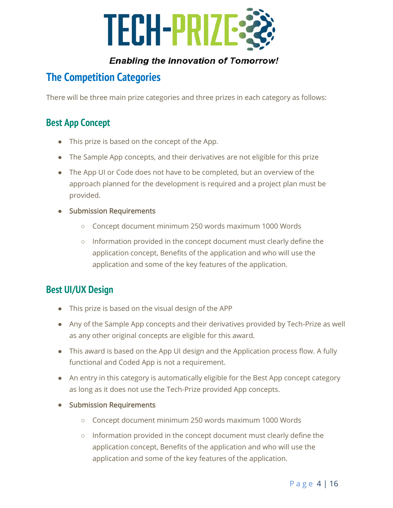

# <span id="page-3-0"></span>**The Competition Categories**

There will be three main prize categories and three prizes in each category as follows:

# <span id="page-3-1"></span>**Best App Concept**

- This prize is based on the concept of the App.
- The Sample App concepts, and their derivatives are not eligible for this prize
- The App UI or Code does not have to be completed, but an overview of the approach planned for the development is required and a project plan must be provided.
- Submission Requirements
	- Concept document minimum 250 words maximum 1000 Words
	- Information provided in the concept document must clearly define the application concept, Benefits of the application and who will use the application and some of the key features of the application.

# <span id="page-3-2"></span>**Best UI/UX Design**

- This prize is based on the visual design of the APP
- Any of the Sample App concepts and their derivatives provided by Tech-Prize as well as any other original concepts are eligible for this award.
- This award is based on the App UI design and the Application process flow. A fully functional and Coded App is not a requirement.
- An entry in this category is automatically eligible for the Best App concept category as long as it does not use the Tech-Prize provided App concepts.
- Submission Requirements
	- Concept document minimum 250 words maximum 1000 Words
	- Information provided in the concept document must clearly define the application concept, Benefits of the application and who will use the application and some of the key features of the application.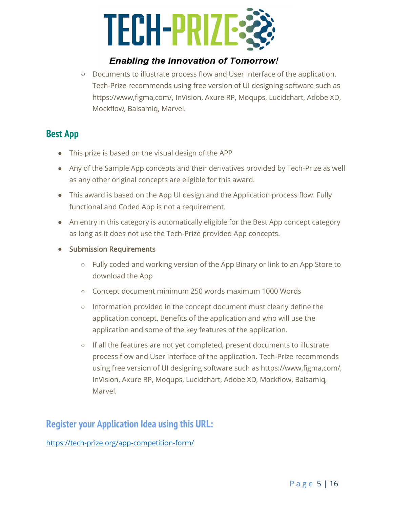

○ Documents to illustrate process flow and User Interface of the application. Tech-Prize recommends using free version of UI designing software such as [https://www,figma,com/,](https://www.figma.com/) InVision, Axure RP, Moqups, Lucidchart, Adobe XD, Mockflow, Balsamiq, Marvel.

# <span id="page-4-0"></span>**Best App**

- This prize is based on the visual design of the APP
- Any of the Sample App concepts and their derivatives provided by Tech-Prize as well as any other original concepts are eligible for this award.
- This award is based on the App UI design and the Application process flow. Fully functional and Coded App is not a requirement.
- An entry in this category is automatically eligible for the Best App concept category as long as it does not use the Tech-Prize provided App concepts.
- Submission Requirements
	- Fully coded and working version of the App Binary or link to an App Store to download the App
	- Concept document minimum 250 words maximum 1000 Words
	- Information provided in the concept document must clearly define the application concept, Benefits of the application and who will use the application and some of the key features of the application.
	- If all the features are not yet completed, present documents to illustrate process flow and User Interface of the application. Tech-Prize recommends using free version of UI designing software such as [https://www,figma,com/,](https://www.figma.com/) InVision, Axure RP, Moqups, Lucidchart, Adobe XD, Mockflow, Balsamiq, Marvel.

# <span id="page-4-1"></span>**Register your Application Idea using this URL:**

<span id="page-4-2"></span><https://tech-prize.org/app-competition-form/>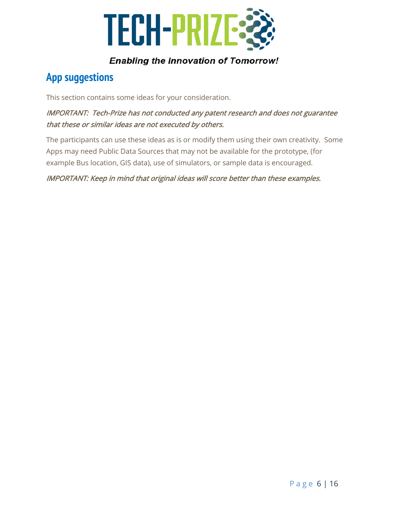

# <span id="page-5-0"></span>**App suggestions**

This section contains some ideas for your consideration.

## IMPORTANT: Tech-Prize has not conducted any patent research and does not guarantee that these or similar ideas are not executed by others.

The participants can use these ideas as is or modify them using their own creativity. Some Apps may need Public Data Sources that may not be available for the prototype, (for example Bus location, GIS data), use of simulators, or sample data is encouraged.

#### <span id="page-5-1"></span>IMPORTANT: Keep in mind that original ideas will score better than these examples.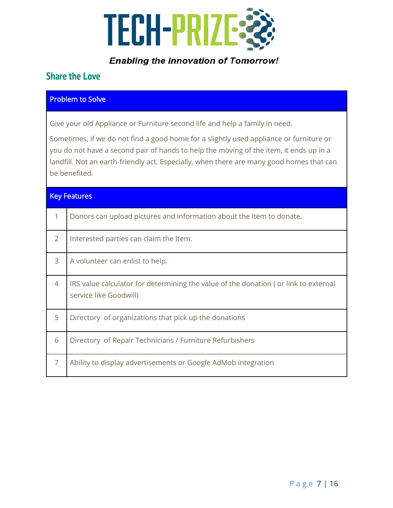

# **Share the Love**

#### Problem to Solve

Give your old Appliance or Furniture second life and help a family in need.

Sometimes, if we do not find a good home for a slightly used appliance or furniture or you do not have a second pair of hands to help the moving of the item, it ends up in a landfill. Not an earth-friendly act. Especially, when there are many good homes that can be benefited.

| <b>Key Features</b> |                                                                                                               |
|---------------------|---------------------------------------------------------------------------------------------------------------|
| $\mathbf{1}$        | Donors can upload pictures and information about the Item to donate.                                          |
| $\overline{2}$      | Interested parties can claim the Item.                                                                        |
| 3                   | A volunteer can enlist to help.                                                                               |
| 4                   | IRS value calculator for determining the value of the donation (or link to external<br>service like Goodwill) |
| 5                   | Directory of organizations that pick up the donations                                                         |
| 6                   | Directory of Repair Technicians / Furniture Refurbishers                                                      |
| $\overline{7}$      | Ability to display advertisements or Google AdMob integration                                                 |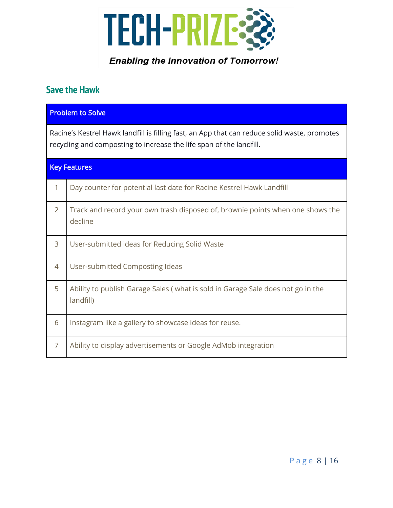

# <span id="page-7-0"></span>**Save the Hawk**

|                                                                                                                                                                     | <b>Problem to Solve</b>                                                                      |  |
|---------------------------------------------------------------------------------------------------------------------------------------------------------------------|----------------------------------------------------------------------------------------------|--|
| Racine's Kestrel Hawk landfill is filling fast, an App that can reduce solid waste, promotes<br>recycling and composting to increase the life span of the landfill. |                                                                                              |  |
| <b>Key Features</b>                                                                                                                                                 |                                                                                              |  |
| 1                                                                                                                                                                   | Day counter for potential last date for Racine Kestrel Hawk Landfill                         |  |
| $\overline{2}$                                                                                                                                                      | Track and record your own trash disposed of, brownie points when one shows the<br>decline    |  |
| 3                                                                                                                                                                   | User-submitted ideas for Reducing Solid Waste                                                |  |
| 4                                                                                                                                                                   | User-submitted Composting Ideas                                                              |  |
| 5                                                                                                                                                                   | Ability to publish Garage Sales (what is sold in Garage Sale does not go in the<br>landfill) |  |
| 6                                                                                                                                                                   | Instagram like a gallery to showcase ideas for reuse.                                        |  |
| $\overline{7}$                                                                                                                                                      | Ability to display advertisements or Google AdMob integration                                |  |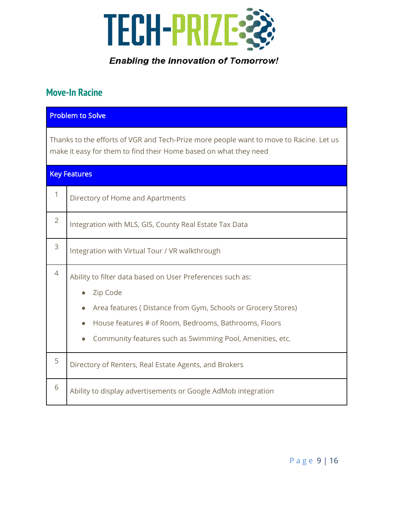

# <span id="page-8-0"></span>**Move-In Racine**

|                | <b>Problem to Solve</b>                                                                                                                                                                                                                                                               |  |
|----------------|---------------------------------------------------------------------------------------------------------------------------------------------------------------------------------------------------------------------------------------------------------------------------------------|--|
|                | Thanks to the efforts of VGR and Tech-Prize more people want to move to Racine. Let us<br>make it easy for them to find their Home based on what they need                                                                                                                            |  |
|                | <b>Key Features</b>                                                                                                                                                                                                                                                                   |  |
| 1              | Directory of Home and Apartments                                                                                                                                                                                                                                                      |  |
| $\overline{2}$ | Integration with MLS, GIS, County Real Estate Tax Data                                                                                                                                                                                                                                |  |
| 3              | Integration with Virtual Tour / VR walkthrough                                                                                                                                                                                                                                        |  |
| $\overline{4}$ | Ability to filter data based on User Preferences such as:<br>Zip Code<br>$\bullet$<br>Area features (Distance from Gym, Schools or Grocery Stores)<br>$\bullet$<br>House features # of Room, Bedrooms, Bathrooms, Floors<br>Community features such as Swimming Pool, Amenities, etc. |  |
| 5              | Directory of Renters, Real Estate Agents, and Brokers                                                                                                                                                                                                                                 |  |
| 6              | Ability to display advertisements or Google AdMob integration                                                                                                                                                                                                                         |  |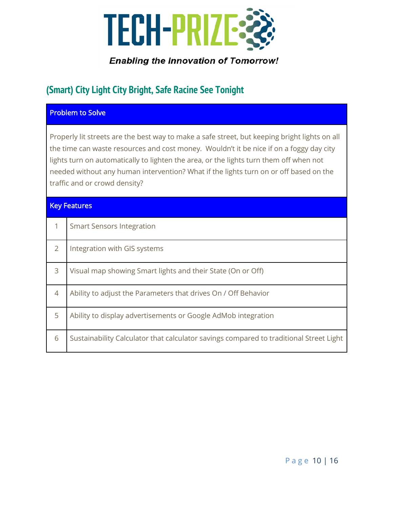

# <span id="page-9-0"></span>**(Smart) City Light City Bright, Safe Racine See Tonight**

#### Problem to Solve

Properly lit streets are the best way to make a safe street, but keeping bright lights on all the time can waste resources and cost money. Wouldn't it be nice if on a foggy day city lights turn on automatically to lighten the area, or the lights turn them off when not needed without any human intervention? What if the lights turn on or off based on the traffic and or crowd density?

#### Key Features

|                | <b>Smart Sensors Integration</b>                                                       |
|----------------|----------------------------------------------------------------------------------------|
| $\overline{2}$ | Integration with GIS systems                                                           |
| 3              | Visual map showing Smart lights and their State (On or Off)                            |
| 4              | Ability to adjust the Parameters that drives On / Off Behavior                         |
| 5              | Ability to display advertisements or Google AdMob integration                          |
| 6              | Sustainability Calculator that calculator savings compared to traditional Street Light |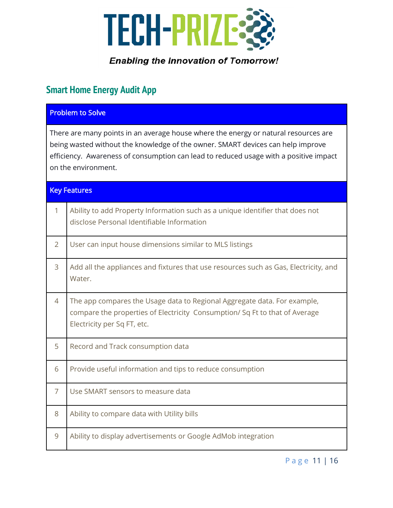

# <span id="page-10-0"></span>**Smart Home Energy Audit App**

|                                                                                                                                                                                                                                                                                        | <b>Problem to Solve</b>                                                                                                                                                               |  |
|----------------------------------------------------------------------------------------------------------------------------------------------------------------------------------------------------------------------------------------------------------------------------------------|---------------------------------------------------------------------------------------------------------------------------------------------------------------------------------------|--|
| There are many points in an average house where the energy or natural resources are<br>being wasted without the knowledge of the owner. SMART devices can help improve<br>efficiency. Awareness of consumption can lead to reduced usage with a positive impact<br>on the environment. |                                                                                                                                                                                       |  |
|                                                                                                                                                                                                                                                                                        | <b>Key Features</b>                                                                                                                                                                   |  |
| $\mathbf{1}$                                                                                                                                                                                                                                                                           | Ability to add Property Information such as a unique identifier that does not<br>disclose Personal Identifiable Information                                                           |  |
| $\overline{2}$                                                                                                                                                                                                                                                                         | User can input house dimensions similar to MLS listings                                                                                                                               |  |
| 3                                                                                                                                                                                                                                                                                      | Add all the appliances and fixtures that use resources such as Gas, Electricity, and<br>Water.                                                                                        |  |
| $\overline{4}$                                                                                                                                                                                                                                                                         | The app compares the Usage data to Regional Aggregate data. For example,<br>compare the properties of Electricity Consumption/Sq Ft to that of Average<br>Electricity per Sq FT, etc. |  |
| 5                                                                                                                                                                                                                                                                                      | Record and Track consumption data                                                                                                                                                     |  |
| 6                                                                                                                                                                                                                                                                                      | Provide useful information and tips to reduce consumption                                                                                                                             |  |
| 7                                                                                                                                                                                                                                                                                      | Use SMART sensors to measure data                                                                                                                                                     |  |
| 8                                                                                                                                                                                                                                                                                      | Ability to compare data with Utility bills                                                                                                                                            |  |
| 9                                                                                                                                                                                                                                                                                      | Ability to display advertisements or Google AdMob integration                                                                                                                         |  |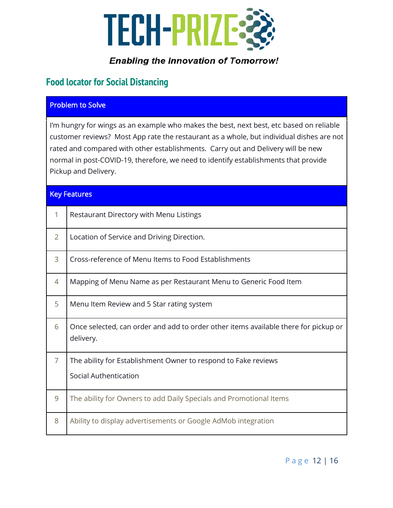

# <span id="page-11-0"></span>**Food locator for Social Distancing**

#### Problem to Solve

I'm hungry for wings as an example who makes the best, next best, etc based on reliable customer reviews? Most App rate the restaurant as a whole, but individual dishes are not rated and compared with other establishments. Carry out and Delivery will be new normal in post-COVID-19, therefore, we need to identify establishments that provide Pickup and Delivery.

#### Key Features

| 1              | Restaurant Directory with Menu Listings                                                          |
|----------------|--------------------------------------------------------------------------------------------------|
| $\overline{2}$ | Location of Service and Driving Direction.                                                       |
| 3              | Cross-reference of Menu Items to Food Establishments                                             |
| 4              | Mapping of Menu Name as per Restaurant Menu to Generic Food Item                                 |
| 5              | Menu Item Review and 5 Star rating system                                                        |
| 6              | Once selected, can order and add to order other items available there for pickup or<br>delivery. |
| $\overline{7}$ | The ability for Establishment Owner to respond to Fake reviews                                   |
|                | <b>Social Authentication</b>                                                                     |
| 9              | The ability for Owners to add Daily Specials and Promotional Items                               |
| 8              | Ability to display advertisements or Google AdMob integration                                    |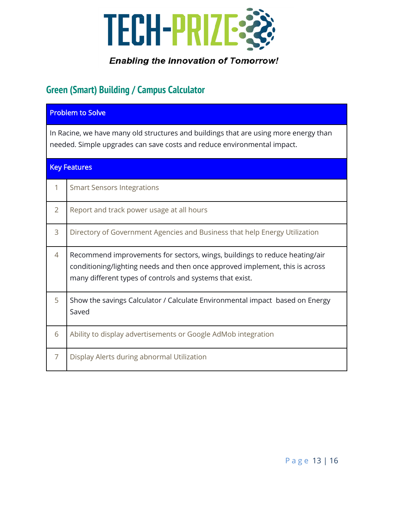

# <span id="page-12-0"></span>**Green (Smart) Building / Campus Calculator**

|                | <b>Problem to Solve</b>                                                                                                                                                                                                |  |
|----------------|------------------------------------------------------------------------------------------------------------------------------------------------------------------------------------------------------------------------|--|
|                | In Racine, we have many old structures and buildings that are using more energy than<br>needed. Simple upgrades can save costs and reduce environmental impact.                                                        |  |
|                | <b>Key Features</b>                                                                                                                                                                                                    |  |
| 1              | <b>Smart Sensors Integrations</b>                                                                                                                                                                                      |  |
| $\overline{2}$ | Report and track power usage at all hours                                                                                                                                                                              |  |
| 3              | Directory of Government Agencies and Business that help Energy Utilization                                                                                                                                             |  |
| 4              | Recommend improvements for sectors, wings, buildings to reduce heating/air<br>conditioning/lighting needs and then once approved implement, this is across<br>many different types of controls and systems that exist. |  |
| 5              | Show the savings Calculator / Calculate Environmental impact based on Energy<br>Saved                                                                                                                                  |  |
| 6              | Ability to display advertisements or Google AdMob integration                                                                                                                                                          |  |
| $\overline{7}$ | Display Alerts during abnormal Utilization                                                                                                                                                                             |  |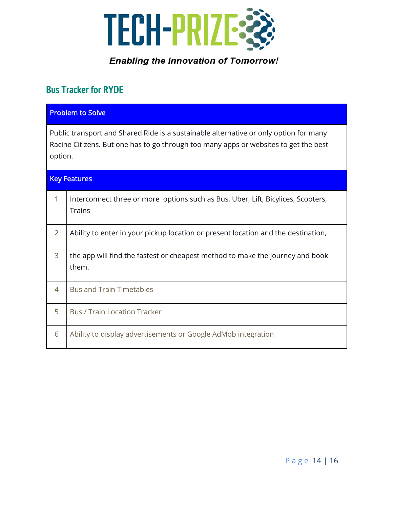

# <span id="page-13-0"></span>**Bus Tracker for RYDE**

| <b>Problem to Solve</b>                                                                                                                                                                  |                                                                                                   |
|------------------------------------------------------------------------------------------------------------------------------------------------------------------------------------------|---------------------------------------------------------------------------------------------------|
| Public transport and Shared Ride is a sustainable alternative or only option for many<br>Racine Citizens. But one has to go through too many apps or websites to get the best<br>option. |                                                                                                   |
| <b>Key Features</b>                                                                                                                                                                      |                                                                                                   |
| 1                                                                                                                                                                                        | Interconnect three or more options such as Bus, Uber, Lift, Bicylices, Scooters,<br><b>Trains</b> |
| $\overline{2}$                                                                                                                                                                           | Ability to enter in your pickup location or present location and the destination,                 |
| 3                                                                                                                                                                                        | the app will find the fastest or cheapest method to make the journey and book<br>them.            |
| 4                                                                                                                                                                                        | <b>Bus and Train Timetables</b>                                                                   |
| 5                                                                                                                                                                                        | <b>Bus / Train Location Tracker</b>                                                               |
| 6                                                                                                                                                                                        | Ability to display advertisements or Google AdMob integration                                     |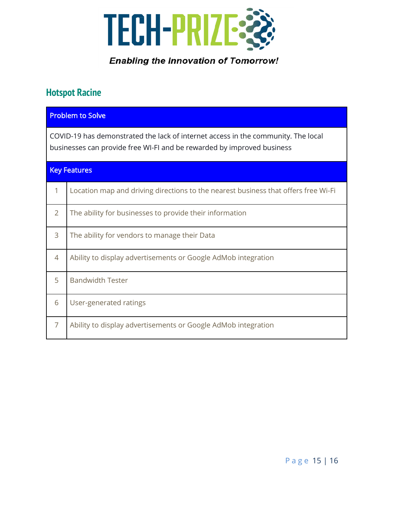

# <span id="page-14-0"></span>**Hotspot Racine**

| <b>Problem to Solve</b>                                                                                                                                     |                                                                                    |
|-------------------------------------------------------------------------------------------------------------------------------------------------------------|------------------------------------------------------------------------------------|
| COVID-19 has demonstrated the lack of internet access in the community. The local<br>businesses can provide free WI-FI and be rewarded by improved business |                                                                                    |
| <b>Key Features</b>                                                                                                                                         |                                                                                    |
| 1                                                                                                                                                           | Location map and driving directions to the nearest business that offers free Wi-Fi |
| $\overline{2}$                                                                                                                                              | The ability for businesses to provide their information                            |
| 3                                                                                                                                                           | The ability for vendors to manage their Data                                       |
| 4                                                                                                                                                           | Ability to display advertisements or Google AdMob integration                      |
| 5                                                                                                                                                           | <b>Bandwidth Tester</b>                                                            |
| 6                                                                                                                                                           | User-generated ratings                                                             |
| $\overline{7}$                                                                                                                                              | Ability to display advertisements or Google AdMob integration                      |